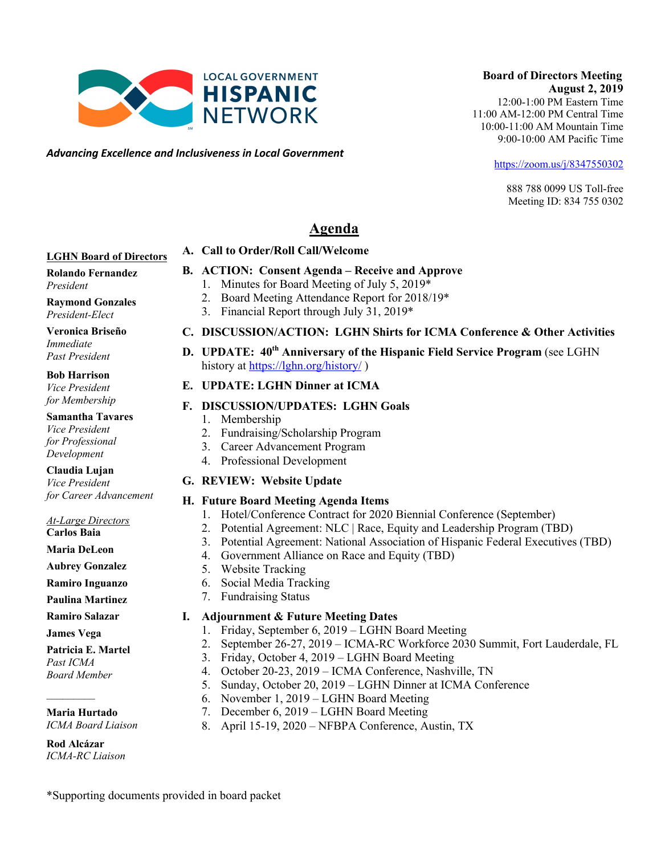**Agenda A. Call to Order/Roll Call/Welcome** 

#### **LGHN Board of Directors**

**Rolando Fernandez** *President*

**Raymond Gonzales** *President-Elect*

#### **Veronica Briseño**

*Immediate Past President*

#### **Bob Harrison** *Vice President*

*for Membership*

#### **Samantha Tavares** *Vice President*

*for Professional Development*

**Claudia Lujan** *Vice President for Career Advancement*

*At-Large Directors*

**Carlos Baia**

**Maria DeLeon**

**Aubrey Gonzalez Ramiro Inguanzo**

**Paulina Martinez**

**Ramiro Salazar**

**James Vega**

 $\frac{1}{2}$ 

#### **Patricia E. Martel**

*Past ICMA Board Member*

#### **Maria Hurtado**

*ICMA Board Liaison*

**Rod Alcázar** *ICMA-RC Liaison*

#### **B. ACTION: Consent Agenda – Receive and Approve**  1. Minutes for Board Meeting of July 5, 2019\*

- 2. Board Meeting Attendance Report for 2018/19\*
- 3. Financial Report through July 31, 2019\*

#### **C. DISCUSSION/ACTION: LGHN Shirts for ICMA Conference & Other Activities**

#### **D. UPDATE: 40th Anniversary of the Hispanic Field Service Program** (see LGHN history at https://lghn.org/history/

#### **E. UPDATE: LGHN Dinner at ICMA**

#### **F. DISCUSSION/UPDATES: LGHN Goals**

- 1. Membership
- 2. Fundraising/Scholarship Program
- 4. Professional Development

#### **G. REVIEW: Website Update**

#### **H. Future Board Meeting Agenda Items**

- 1. Hotel/Conference Contract for 2020 Biennial Conference (September)
- 2. Potential Agreement: NLC | Race, Equity and Leadership Program (TBD)
- 3. Potential Agreement: National Association of Hispanic Federal Executives (TBD)
- 4. Government Alliance on Race and Equity (TBD)
- 5. Website Tracking
- 7. Fundraising Status

#### **I. Adjournment & Future Meeting Dates**

- 1. Friday, September 6, 2019 LGHN Board Meeting
- 2. September 26-27, 2019 ICMA-RC Workforce 2030 Summit, Fort Lauderdale, FL
- 3. Friday, October 4, 2019 LGHN Board Meeting
- 4. October 20-23, 2019 ICMA Conference, Nashville, TN
- 5. Sunday, October 20, 2019 LGHN Dinner at ICMA Conference
- 6. November 1, 2019 LGHN Board Meeting
- 7. December 6, 2019 LGHN Board Meeting
- 8. April 15-19, 2020 NFBPA Conference, Austin, TX

## 3. Career Advancement Program





\*Supporting documents provided in board packet

## 6. Social Media Tracking

## **HISPANIC NETWORK**

 **Board of Directors Meeting August 2, 2019** 12:00-1:00 PM Eastern Time 11:00 AM-12:00 PM Central Time 10:00-11:00 AM Mountain Time

https://zoom.us/j/8347550302

9:00-10:00 AM Pacific Time

888 788 0099 US Toll-free Meeting ID: 834 755 0302

# *Advancing Excellence and Inclusiveness in Local Government*

**LOCAL GOVERNMENT**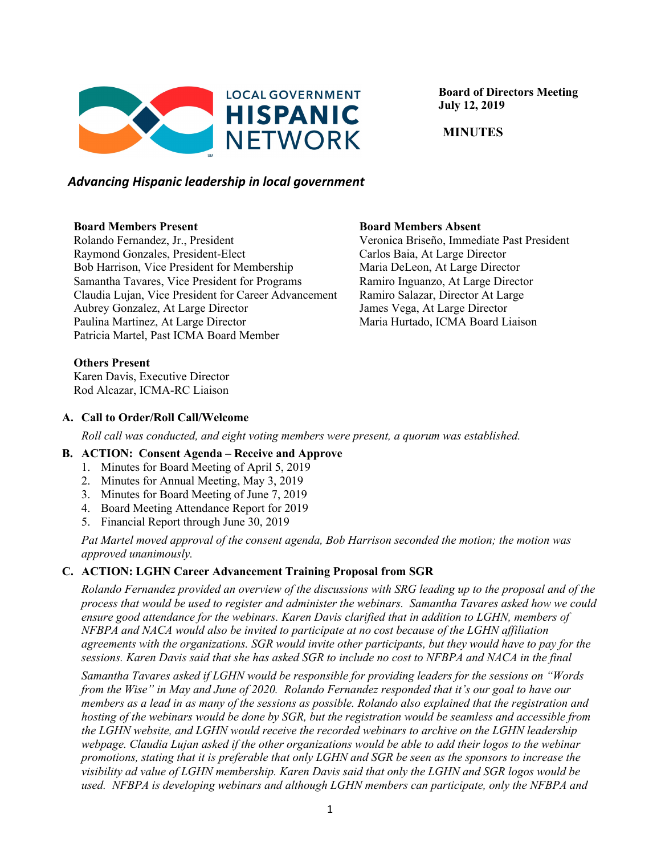

 **Board of Directors Meeting July 12, 2019**

 **MINUTES**

#### *Advancing Hispanic leadership in local government*

#### **Board Members Present**

Rolando Fernandez, Jr., President Raymond Gonzales, President-Elect Bob Harrison, Vice President for Membership Samantha Tavares, Vice President for Programs Claudia Lujan, Vice President for Career Advancement Aubrey Gonzalez, At Large Director Paulina Martinez, At Large Director Patricia Martel, Past ICMA Board Member

**Board Members Absent**

Veronica Briseño, Immediate Past President Carlos Baia, At Large Director Maria DeLeon, At Large Director Ramiro Inguanzo, At Large Director Ramiro Salazar, Director At Large James Vega, At Large Director Maria Hurtado, ICMA Board Liaison

#### **Others Present**

Karen Davis, Executive Director Rod Alcazar, ICMA-RC Liaison

#### **A. Call to Order/Roll Call/Welcome**

*Roll call was conducted, and eight voting members were present, a quorum was established.*

#### **B. ACTION: Consent Agenda – Receive and Approve**

- 1. Minutes for Board Meeting of April 5, 2019
- 2. Minutes for Annual Meeting, May 3, 2019
- 3. Minutes for Board Meeting of June 7, 2019
- 4. Board Meeting Attendance Report for 2019
- 5. Financial Report through June 30, 2019

*Pat Martel moved approval of the consent agenda, Bob Harrison seconded the motion; the motion was approved unanimously.*

#### **C. ACTION: LGHN Career Advancement Training Proposal from SGR**

*Rolando Fernandez provided an overview of the discussions with SRG leading up to the proposal and of the process that would be used to register and administer the webinars. Samantha Tavares asked how we could ensure good attendance for the webinars. Karen Davis clarified that in addition to LGHN, members of NFBPA and NACA would also be invited to participate at no cost because of the LGHN affiliation agreements with the organizations. SGR would invite other participants, but they would have to pay for the sessions. Karen Davis said that she has asked SGR to include no cost to NFBPA and NACA in the final* 

*Samantha Tavares asked if LGHN would be responsible for providing leaders for the sessions on "Words from the Wise" in May and June of 2020. Rolando Fernandez responded that it's our goal to have our members as a lead in as many of the sessions as possible. Rolando also explained that the registration and hosting of the webinars would be done by SGR, but the registration would be seamless and accessible from the LGHN website, and LGHN would receive the recorded webinars to archive on the LGHN leadership webpage. Claudia Lujan asked if the other organizations would be able to add their logos to the webinar promotions, stating that it is preferable that only LGHN and SGR be seen as the sponsors to increase the visibility ad value of LGHN membership. Karen Davis said that only the LGHN and SGR logos would be used. NFBPA is developing webinars and although LGHN members can participate, only the NFBPA and*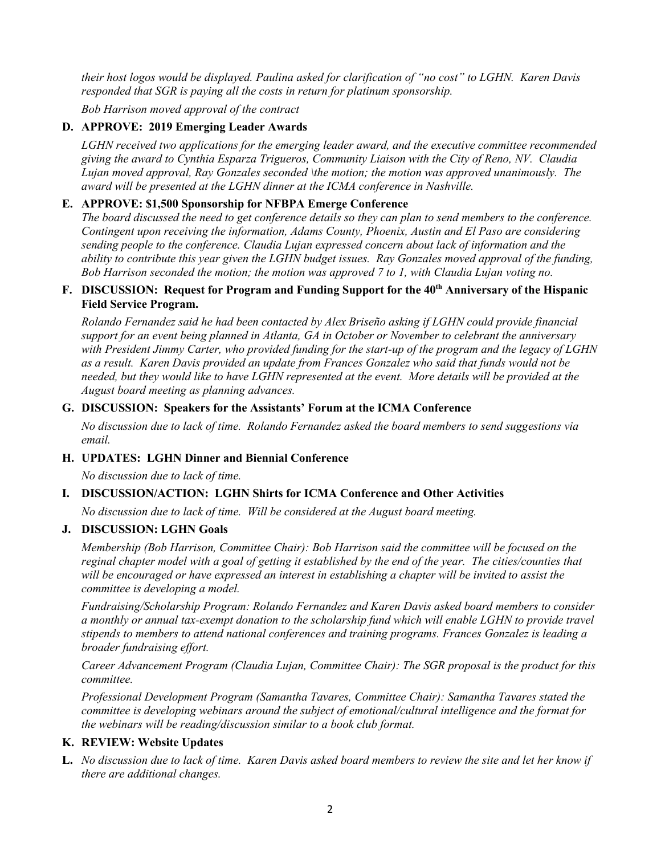*their host logos would be displayed. Paulina asked for clarification of "no cost" to LGHN. Karen Davis responded that SGR is paying all the costs in return for platinum sponsorship.*

*Bob Harrison moved approval of the contract*

#### **D. APPROVE: 2019 Emerging Leader Awards**

*LGHN received two applications for the emerging leader award, and the executive committee recommended giving the award to Cynthia Esparza Trigueros, Community Liaison with the City of Reno, NV. Claudia Lujan moved approval, Ray Gonzales seconded \the motion; the motion was approved unanimously. The award will be presented at the LGHN dinner at the ICMA conference in Nashville.*

#### **E. APPROVE: \$1,500 Sponsorship for NFBPA Emerge Conference**

*The board discussed the need to get conference details so they can plan to send members to the conference. Contingent upon receiving the information, Adams County, Phoenix, Austin and El Paso are considering sending people to the conference. Claudia Lujan expressed concern about lack of information and the ability to contribute this year given the LGHN budget issues. Ray Gonzales moved approval of the funding, Bob Harrison seconded the motion; the motion was approved 7 to 1, with Claudia Lujan voting no.*

#### **F. DISCUSSION: Request for Program and Funding Support for the 40th Anniversary of the Hispanic Field Service Program.**

*Rolando Fernandez said he had been contacted by Alex Briseño asking if LGHN could provide financial support for an event being planned in Atlanta, GA in October or November to celebrant the anniversary with President Jimmy Carter, who provided funding for the start-up of the program and the legacy of LGHN as a result. Karen Davis provided an update from Frances Gonzalez who said that funds would not be needed, but they would like to have LGHN represented at the event. More details will be provided at the August board meeting as planning advances.*

#### **G. DISCUSSION: Speakers for the Assistants' Forum at the ICMA Conference**

*No discussion due to lack of time. Rolando Fernandez asked the board members to send suggestions via email.*

#### **H. UPDATES: LGHN Dinner and Biennial Conference**

*No discussion due to lack of time.*

#### **I. DISCUSSION/ACTION: LGHN Shirts for ICMA Conference and Other Activities**

*No discussion due to lack of time. Will be considered at the August board meeting.*

#### **J. DISCUSSION: LGHN Goals**

*Membership (Bob Harrison, Committee Chair): Bob Harrison said the committee will be focused on the reginal chapter model with a goal of getting it established by the end of the year. The cities/counties that will be encouraged or have expressed an interest in establishing a chapter will be invited to assist the committee is developing a model.*

*Fundraising/Scholarship Program: Rolando Fernandez and Karen Davis asked board members to consider a monthly or annual tax-exempt donation to the scholarship fund which will enable LGHN to provide travel stipends to members to attend national conferences and training programs. Frances Gonzalez is leading a broader fundraising effort.*

*Career Advancement Program (Claudia Lujan, Committee Chair): The SGR proposal is the product for this committee.*

*Professional Development Program (Samantha Tavares, Committee Chair): Samantha Tavares stated the committee is developing webinars around the subject of emotional/cultural intelligence and the format for the webinars will be reading/discussion similar to a book club format.*

#### **K. REVIEW: Website Updates**

**L.** *No discussion due to lack of time. Karen Davis asked board members to review the site and let her know if there are additional changes.*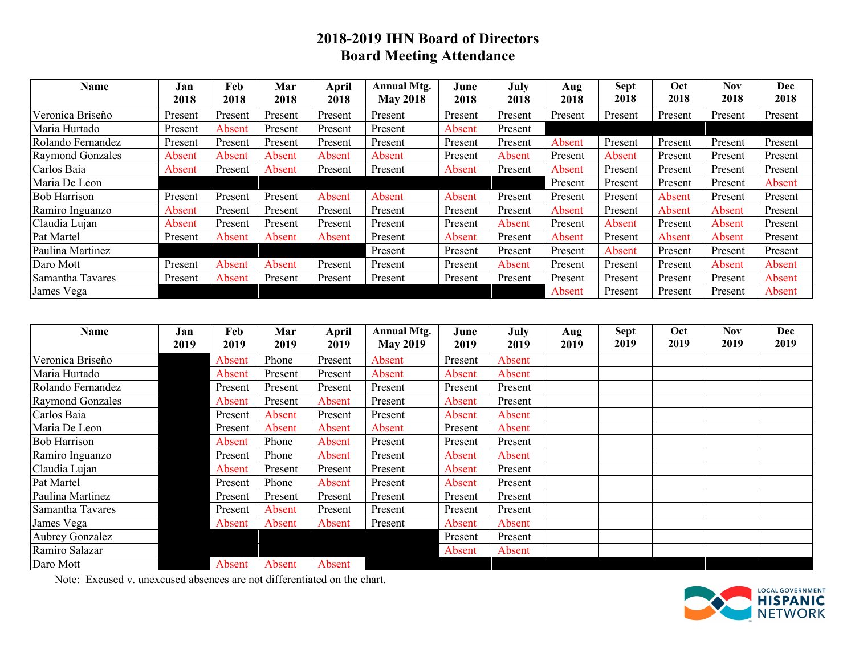#### **2018-2019 IHN Board of Directors Board Meeting Attendance**

| Name                    | Jan<br>2018 | Feb<br>2018 | Mar<br>2018 | April<br>2018 | <b>Annual Mtg.</b><br><b>May 2018</b> | June<br>2018 | July<br>2018 | Aug<br>2018 | Sept<br>2018 | Oct<br>2018 | <b>Nov</b><br>2018 | Dec<br>2018 |
|-------------------------|-------------|-------------|-------------|---------------|---------------------------------------|--------------|--------------|-------------|--------------|-------------|--------------------|-------------|
| Veronica Briseño        | Present     | Present     | Present     | Present       | Present                               | Present      | Present      | Present     | Present      | Present     | Present            | Present     |
| Maria Hurtado           | Present     | Absent      | Present     | Present       | Present                               | Absent       | Present      |             |              |             |                    |             |
| Rolando Fernandez       | Present     | Present     | Present     | Present       | Present                               | Present      | Present      | Absent      | Present      | Present     | Present            | Present     |
| <b>Raymond Gonzales</b> | Absent      | Absent      | Absent      | Absent        | Absent                                | Present      | Absent       | Present     | Absent       | Present     | Present            | Present     |
| Carlos Baia             | Absent      | Present     | Absent      | Present       | Present                               | Absent       | Present      | Absent      | Present      | Present     | Present            | Present     |
| Maria De Leon           |             |             |             |               |                                       |              |              | Present     | Present      | Present     | Present            | Absent      |
| <b>Bob Harrison</b>     | Present     | Present     | Present     | Absent        | Absent                                | Absent       | Present      | Present     | Present      | Absent      | Present            | Present     |
| Ramiro Inguanzo         | Absent      | Present     | Present     | Present       | Present                               | Present      | Present      | Absent      | Present      | Absent      | Absent             | Present     |
| Claudia Lujan           | Absent      | Present     | Present     | Present       | Present                               | Present      | Absent       | Present     | Absent       | Present     | Absent             | Present     |
| Pat Martel              | Present     | Absent      | Absent      | Absent        | Present                               | Absent       | Present      | Absent      | Present      | Absent      | Absent             | Present     |
| Paulina Martinez        |             |             |             |               | Present                               | Present      | Present      | Present     | Absent       | Present     | Present            | Present     |
| Daro Mott               | Present     | Absent      | Absent      | Present       | Present                               | Present      | Absent       | Present     | Present      | Present     | Absent             | Absent      |
| Samantha Tavares        | Present     | Absent      | Present     | Present       | Present                               | Present      | Present      | Present     | Present      | Present     | Present            | Absent      |
| James Vega              |             |             |             |               |                                       |              |              | Absent      | Present      | Present     | Present            | Absent      |

| Name                    | Jan<br>2019 | Feb<br>2019 | Mar<br>2019 | <b>April</b><br>2019 | <b>Annual Mtg.</b><br><b>May 2019</b> | June<br>2019 | <b>July</b><br>2019 | Aug<br>2019 | <b>Sept</b><br>2019 | Oct<br>2019 | Nov<br>2019 | Dec<br>2019 |
|-------------------------|-------------|-------------|-------------|----------------------|---------------------------------------|--------------|---------------------|-------------|---------------------|-------------|-------------|-------------|
| Veronica Briseño        |             | Absent      | Phone       | Present              | Absent                                | Present      | Absent              |             |                     |             |             |             |
| Maria Hurtado           |             | Absent      | Present     | Present              | Absent                                | Absent       | Absent              |             |                     |             |             |             |
| Rolando Fernandez       |             | Present     | Present     | Present              | Present                               | Present      | Present             |             |                     |             |             |             |
| <b>Raymond Gonzales</b> |             | Absent      | Present     | Absent               | Present                               | Absent       | Present             |             |                     |             |             |             |
| Carlos Baia             |             | Present     | Absent      | Present              | Present                               | Absent       | Absent              |             |                     |             |             |             |
| Maria De Leon           |             | Present     | Absent      | Absent               | Absent                                | Present      | Absent              |             |                     |             |             |             |
| <b>Bob Harrison</b>     |             | Absent      | Phone       | Absent               | Present                               | Present      | Present             |             |                     |             |             |             |
| Ramiro Inguanzo         |             | Present     | Phone       | Absent               | Present                               | Absent       | Absent              |             |                     |             |             |             |
| Claudia Lujan           |             | Absent      | Present     | Present              | Present                               | Absent       | Present             |             |                     |             |             |             |
| Pat Martel              |             | Present     | Phone       | Absent               | Present                               | Absent       | Present             |             |                     |             |             |             |
| Paulina Martinez        |             | Present     | Present     | Present              | Present                               | Present      | Present             |             |                     |             |             |             |
| Samantha Tavares        |             | Present     | Absent      | Present              | Present                               | Present      | Present             |             |                     |             |             |             |
| James Vega              |             | Absent      | Absent      | Absent               | Present                               | Absent       | Absent              |             |                     |             |             |             |
| Aubrey Gonzalez         |             |             |             |                      |                                       | Present      | Present             |             |                     |             |             |             |
| Ramiro Salazar          |             |             |             |                      |                                       | Absent       | Absent              |             |                     |             |             |             |
| Daro Mott               |             | Absent      | Absent      | Absent               |                                       |              |                     |             |                     |             |             |             |

Note: Excused v. unexcused absences are not differentiated on the chart.

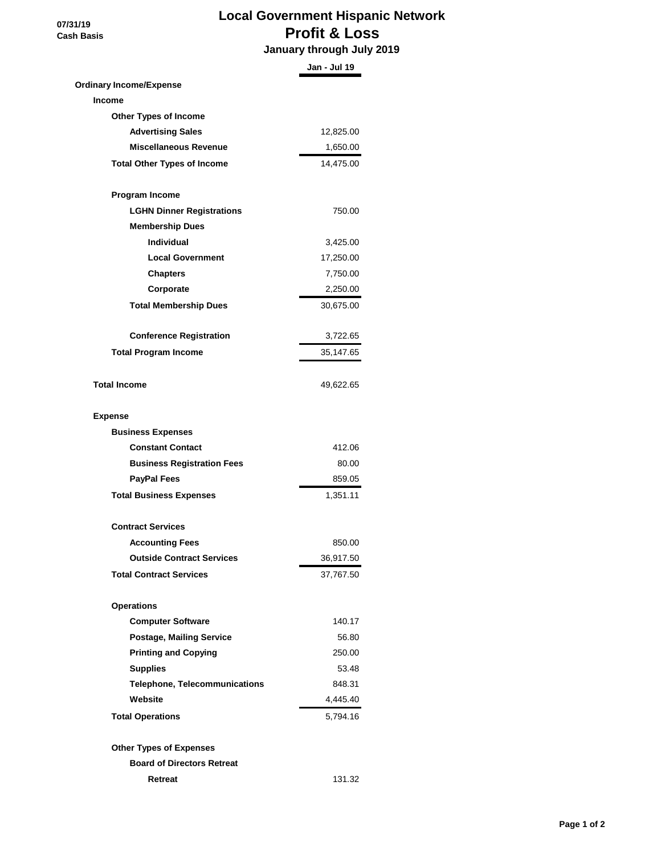**07/31/19 Cash Basis**

### **Local Government Hispanic Network Profit & Loss**

 **January through July 2019**

|                                      | Jan - Jul 19 |
|--------------------------------------|--------------|
| <b>Ordinary Income/Expense</b>       |              |
| <b>Income</b>                        |              |
| <b>Other Types of Income</b>         |              |
| <b>Advertising Sales</b>             | 12,825.00    |
| <b>Miscellaneous Revenue</b>         | 1,650.00     |
| <b>Total Other Types of Income</b>   | 14,475.00    |
| Program Income                       |              |
| <b>LGHN Dinner Registrations</b>     | 750.00       |
| <b>Membership Dues</b>               |              |
| <b>Individual</b>                    | 3,425.00     |
| <b>Local Government</b>              | 17,250.00    |
| <b>Chapters</b>                      | 7,750.00     |
| Corporate                            | 2,250.00     |
| <b>Total Membership Dues</b>         | 30,675.00    |
| <b>Conference Registration</b>       | 3,722.65     |
| <b>Total Program Income</b>          | 35,147.65    |
| <b>Total Income</b>                  | 49,622.65    |
|                                      |              |
| <b>Expense</b>                       |              |
| <b>Business Expenses</b>             |              |
| <b>Constant Contact</b>              | 412.06       |
| <b>Business Registration Fees</b>    | 80.00        |
| <b>PayPal Fees</b>                   | 859.05       |
| <b>Total Business Expenses</b>       | 1,351.11     |
| <b>Contract Services</b>             |              |
| <b>Accounting Fees</b>               | 850.00       |
| <b>Outside Contract Services</b>     | 36,917.50    |
| <b>Total Contract Services</b>       | 37,767.50    |
| <b>Operations</b>                    |              |
| <b>Computer Software</b>             | 140.17       |
| <b>Postage, Mailing Service</b>      | 56.80        |
| <b>Printing and Copying</b>          | 250.00       |
| <b>Supplies</b>                      | 53.48        |
| <b>Telephone, Telecommunications</b> | 848.31       |
| Website                              | 4,445.40     |
| <b>Total Operations</b>              | 5,794.16     |
| <b>Other Types of Expenses</b>       |              |
| <b>Board of Directors Retreat</b>    |              |
| Retreat                              | 131.32       |